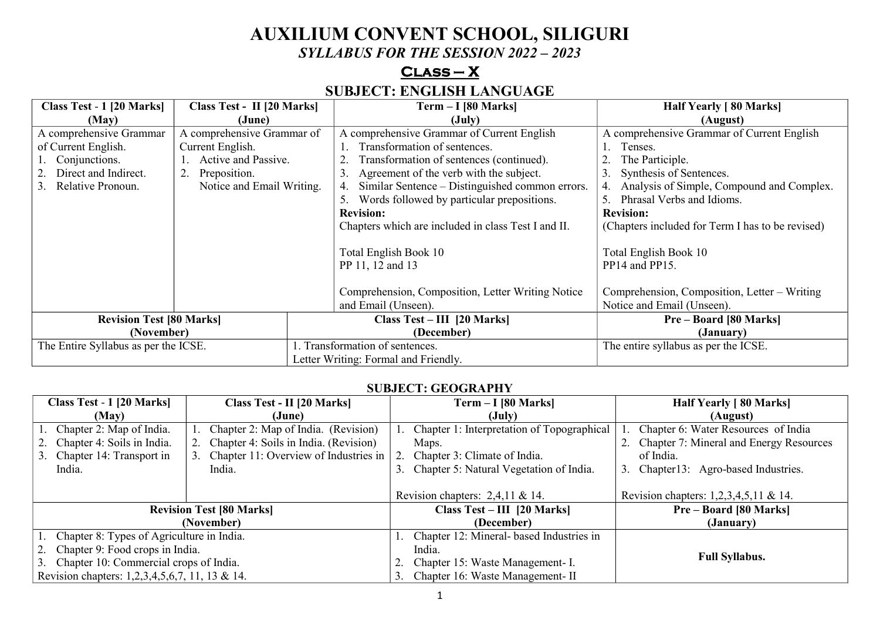# **AUXILIUM CONVENT SCHOOL, SILIGURI**

*SYLLABUS FOR THE SESSION 2022 – 2023* 

## **Class – X**

## **SUBJECT: ENGLISH LANGUAGE**

| Class Test - 1 [20 Marks]<br>Class Test - II [20 Marks] |                            |                                      | $Term - I [80 Marks]$                                 | Half Yearly [80 Marks]                           |
|---------------------------------------------------------|----------------------------|--------------------------------------|-------------------------------------------------------|--------------------------------------------------|
| (May)                                                   | (June)                     |                                      | $(\mathrm{July})$                                     | (August)                                         |
| A comprehensive Grammar                                 | A comprehensive Grammar of |                                      | A comprehensive Grammar of Current English            | A comprehensive Grammar of Current English       |
| of Current English.                                     | Current English.           |                                      | Transformation of sentences.                          | Tenses.                                          |
| Conjunctions.                                           | Active and Passive.        |                                      | Transformation of sentences (continued).              | The Participle.                                  |
| Direct and Indirect.                                    | Preposition.               |                                      | Agreement of the verb with the subject.               | 3.<br>Synthesis of Sentences.                    |
| Relative Pronoun.<br>3.                                 | Notice and Email Writing.  |                                      | Similar Sentence – Distinguished common errors.<br>4. | Analysis of Simple, Compound and Complex.<br>4.  |
|                                                         |                            |                                      | Words followed by particular prepositions.            | Phrasal Verbs and Idioms.                        |
|                                                         |                            |                                      | <b>Revision:</b>                                      | <b>Revision:</b>                                 |
|                                                         |                            |                                      | Chapters which are included in class Test I and II.   | (Chapters included for Term I has to be revised) |
|                                                         |                            |                                      |                                                       |                                                  |
|                                                         |                            | Total English Book 10                |                                                       | Total English Book 10                            |
|                                                         |                            | PP 11, 12 and 13                     |                                                       | PP14 and PP15.                                   |
|                                                         |                            |                                      |                                                       |                                                  |
|                                                         |                            |                                      | Comprehension, Composition, Letter Writing Notice     | Comprehension, Composition, Letter - Writing     |
|                                                         |                            |                                      | and Email (Unseen).                                   | Notice and Email (Unseen).                       |
| <b>Revision Test [80 Marks]</b>                         |                            |                                      | Class $Test - III$ [20 Marks]                         | <b>Pre-Board [80 Marks]</b>                      |
| (November)                                              |                            |                                      | (December)                                            | (January)                                        |
| The Entire Syllabus as per the ICSE.                    |                            |                                      | Transformation of sentences.                          | The entire syllabus as per the ICSE.             |
|                                                         |                            | Letter Writing: Formal and Friendly. |                                                       |                                                  |

#### **SUBJECT: GEOGRAPHY**

| Class Test - 1 [20 Marks]<br><b>Class Test - II [20 Marks]</b> |                                          | $Term - I [80 Marks]$                      | Half Yearly [80 Marks]                     |
|----------------------------------------------------------------|------------------------------------------|--------------------------------------------|--------------------------------------------|
| (May)                                                          | (June)                                   | (July)                                     | (August)                                   |
| 1. Chapter 2: Map of India.                                    | Chapter 2: Map of India. (Revision)      | Chapter 1: Interpretation of Topographical | Chapter 6: Water Resources of India        |
| 2. Chapter 4: Soils in India.                                  | 2. Chapter 4: Soils in India. (Revision) | Maps.                                      | 2. Chapter 7: Mineral and Energy Resources |
| 3. Chapter 14: Transport in                                    | 3. Chapter 11: Overview of Industries in | Chapter 3: Climate of India.               | of India.                                  |
| India.                                                         | India.                                   | 3. Chapter 5: Natural Vegetation of India. | 3. Chapter13: Agro-based Industries.       |
|                                                                |                                          |                                            |                                            |
|                                                                |                                          | Revision chapters: $2,4,11 \& 14$ .        | Revision chapters: 1,2,3,4,5,11 & 14.      |
|                                                                | <b>Revision Test [80 Marks]</b>          | Class Test – III [20 Marks]                | <b>Pre-Board [80 Marks]</b>                |
|                                                                | (November)                               | (December)                                 | (January)                                  |
| 1. Chapter 8: Types of Agriculture in India.                   |                                          | Chapter 12: Mineral- based Industries in   |                                            |
| 2. Chapter 9: Food crops in India.                             |                                          | India.                                     |                                            |
| 3. Chapter 10: Commercial crops of India.                      |                                          | Chapter 15: Waste Management- I.           | <b>Full Syllabus.</b>                      |
| Revision chapters: 1,2,3,4,5,6,7, 11, 13 & 14.                 |                                          | Chapter 16: Waste Management- II           |                                            |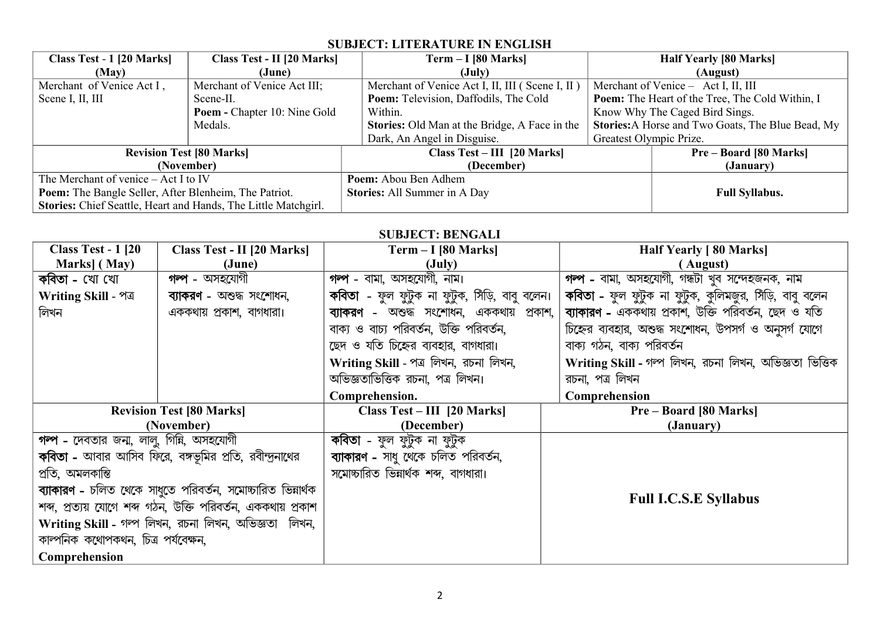## **SUBJECT: LITERATURE IN ENGLISH**

| Class Test - 1 [20 Marks]<br>Class Test - II [20 Marks]        |                                     |                                     | $Term - I [80 Marks]$                                |                                                          | <b>Half Yearly [80 Marks]</b>                   |
|----------------------------------------------------------------|-------------------------------------|-------------------------------------|------------------------------------------------------|----------------------------------------------------------|-------------------------------------------------|
| (May)<br>(June)                                                |                                     |                                     | $(\text{July})$                                      |                                                          | (August)                                        |
| Merchant of Venice Act I,                                      | Merchant of Venice Act III;         |                                     | Merchant of Venice Act I, II, III (Scene I, II)      |                                                          | Merchant of Venice - Act I, II, III             |
| Scene I, II, III                                               | Scene-II.                           |                                     | <b>Poem:</b> Television, Daffodils, The Cold         |                                                          | Poem: The Heart of the Tree, The Cold Within, I |
|                                                                | <b>Poem - Chapter 10: Nine Gold</b> |                                     | Within.                                              |                                                          | Know Why The Caged Bird Sings.                  |
| Medals.                                                        |                                     |                                     | <b>Stories:</b> Old Man at the Bridge, A Face in the | <b>Stories:</b> A Horse and Two Goats, The Blue Bead, My |                                                 |
|                                                                |                                     |                                     | Dark, An Angel in Disguise.                          | Greatest Olympic Prize.                                  |                                                 |
| <b>Revision Test [80 Marks]</b>                                |                                     | $Class Test - III$ [20 Marks]       |                                                      | <b>Pre-Board [80 Marks]</b>                              |                                                 |
| (November)                                                     |                                     | (December)                          |                                                      | (January)                                                |                                                 |
| The Merchant of venice - Act I to IV                           |                                     | Poem: Abou Ben Adhem                |                                                      |                                                          |                                                 |
| Poem: The Bangle Seller, After Blenheim, The Patriot.          |                                     | <b>Stories:</b> All Summer in A Day |                                                      | <b>Full Syllabus.</b>                                    |                                                 |
| Stories: Chief Seattle, Heart and Hands, The Little Matchgirl. |                                     |                                     |                                                      |                                                          |                                                 |

#### **SUBJECT: BENGALI**

| <b>Class Test - 1 [20]</b><br><b>Class Test - II [20 Marks]</b> |                                                              | $Term - I [80 Marks]$                          | <b>Half Yearly [80 Marks]</b>                           |
|-----------------------------------------------------------------|--------------------------------------------------------------|------------------------------------------------|---------------------------------------------------------|
| Marks] (May)                                                    | (June)                                                       | $(\mathrm{July})$                              | (August)                                                |
| <b>গন্প</b> - অসহযোগী<br>কবিতা - খো খো                          |                                                              | গল্প - বামা, অসহযোগী, নাম।                     | গৰ্প - বামা, অসহযোগী, গন্ধটা খুব সন্দেহজনক, নাম         |
| Writing Skill - পত্র                                            | ব্যাকরণ - অশুদ্ধ সংশোধন,                                     | কবিতা - ফুল ফুটুক না ফুটুক, সিঁড়ি, বাবু বলেন। | কবিতা - ফুল ফুটুক না ফুটুক, কুলিমজুর, সিঁড়ি, বাবু বলেন |
| লিখন                                                            | এককথায় প্রকাশ, বাগধারা।                                     | ব্যাকরণ - অশুদ্ধ সংশোধন, এককথায় প্রকাশ,       | ব্যাকারণ - এককথায় প্রকাশ, উক্তি পরিবর্তন, ছেদ ও যতি    |
|                                                                 |                                                              | বাক্য ও বাচ্য পরিবর্তন, উক্তি পরিবর্তন,        | চিহ্নের ব্যবহার, অশুদ্ধ সংশোধন, উপসর্গ ও অনুসর্গ যোগে   |
|                                                                 |                                                              | ছেদ ও যতি চিহ্নের ব্যবহার, বাগধারা।            | বাক্য গঠন, বাক্য পরিবর্তন                               |
|                                                                 |                                                              | Writing Skill - পত্ৰ লিখন, রচনা লিখন,          | Writing Skill - গন্প লিখন, রচনা লিখন, অভিজ্ঞতা ভিত্তিক  |
|                                                                 |                                                              | অভিজ্ঞতাভিত্তিক রচনা, পত্র লিখন।               | রচনা, পত্র লিখন                                         |
|                                                                 |                                                              | Comprehension.                                 | Comprehension                                           |
|                                                                 | <b>Revision Test [80 Marks]</b>                              | Class $Test - III$ [20 Marks]                  | <b>Pre-Board [80 Marks]</b>                             |
|                                                                 | (November)                                                   | (December)                                     | (January)                                               |
| গম্প - দেবতার জন্ম, লালু, গিন্নি, অসহযোগী                       |                                                              | <b>কবিতা</b> - ফুল ফুটুক না ফুটুক              |                                                         |
|                                                                 | <b>কবিতা -</b> আবার আসিব ফিরে, বঙ্গভূমির প্রতি, রবীন্দুনাথের | ব্যাকারণ - সাধু থেকে চলিত পরিবর্তন,            |                                                         |
| প্ৰতি, অমলকান্তি                                                |                                                              | সমোচ্চারিত ভিন্নার্থক শব্দ, বাগধারা।           |                                                         |
| ব্যাকারণ - চলিত থেকে সাধুতে পরিবর্তন, সমোচ্চারিত ভিন্নার্থক     |                                                              |                                                |                                                         |
|                                                                 | শব্দ, প্রত্যয় যোগে শব্দ গঠন, উক্তি পরিবর্তন, এককথায় প্রকাশ |                                                | <b>Full I.C.S.E Syllabus</b>                            |
|                                                                 | Writing Skill - গন্প লিখন, রচনা লিখন, অভিজ্ঞতা লিখন,         |                                                |                                                         |
| কাম্পনিক কথোপকথন, চিত্র পর্যবেক্ষন,                             |                                                              |                                                |                                                         |
| Comprehension                                                   |                                                              |                                                |                                                         |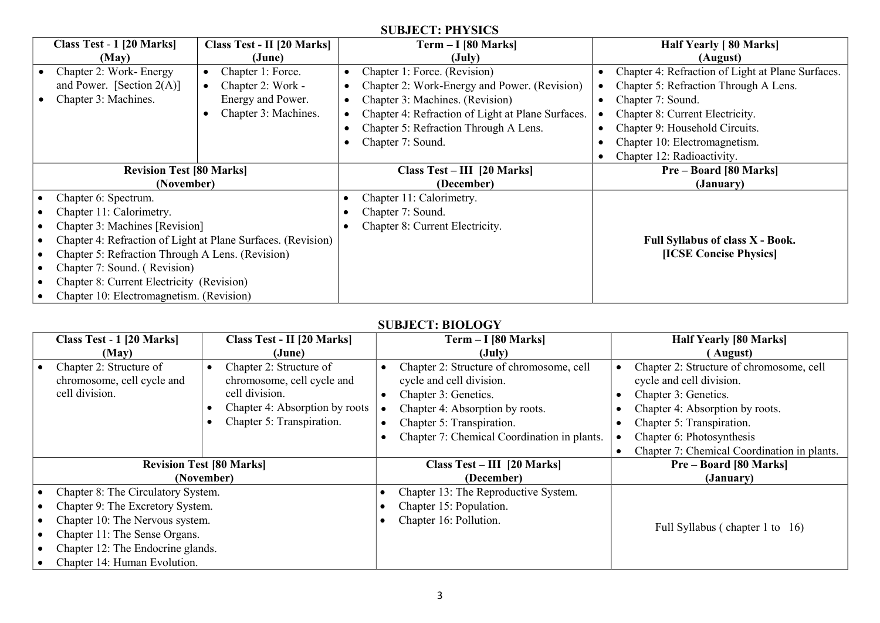#### **SUBJECT: PHYSICS**

|                                                  | Class Test - 1 [20 Marks]                                    | Class Test - II [20 Marks]    | Term - I [80 Marks]                               | <b>Half Yearly</b> [80 Marks]                     |
|--------------------------------------------------|--------------------------------------------------------------|-------------------------------|---------------------------------------------------|---------------------------------------------------|
|                                                  | (May)                                                        | (June)                        | (July)                                            | (August)                                          |
|                                                  | Chapter 2: Work-Energy                                       | Chapter 1: Force.             | Chapter 1: Force. (Revision)                      | Chapter 4: Refraction of Light at Plane Surfaces. |
|                                                  | and Power. [Section $2(A)$ ]                                 | Chapter 2: Work -             | Chapter 2: Work-Energy and Power. (Revision)      | Chapter 5: Refraction Through A Lens.             |
|                                                  | Chapter 3: Machines.                                         | Energy and Power.             | Chapter 3: Machines. (Revision)                   | Chapter 7: Sound.                                 |
|                                                  |                                                              | Chapter 3: Machines.          | Chapter 4: Refraction of Light at Plane Surfaces. | Chapter 8: Current Electricity.                   |
|                                                  |                                                              |                               | Chapter 5: Refraction Through A Lens.             | Chapter 9: Household Circuits.                    |
|                                                  |                                                              |                               | Chapter 7: Sound.                                 | Chapter 10: Electromagnetism.                     |
|                                                  |                                                              |                               |                                                   | Chapter 12: Radioactivity.                        |
| <b>Revision Test [80 Marks]</b>                  |                                                              | Class $Test - III$ [20 Marks] | <b>Pre-Board [80 Marks]</b>                       |                                                   |
|                                                  | (November)                                                   |                               | (December)                                        | (January)                                         |
|                                                  | Chapter 6: Spectrum.                                         |                               | Chapter 11: Calorimetry.                          |                                                   |
|                                                  | Chapter 11: Calorimetry.                                     |                               | Chapter 7: Sound.                                 |                                                   |
|                                                  | Chapter 3: Machines [Revision]                               |                               | Chapter 8: Current Electricity.                   |                                                   |
|                                                  | Chapter 4: Refraction of Light at Plane Surfaces. (Revision) |                               |                                                   | <b>Full Syllabus of class X - Book.</b>           |
| Chapter 5: Refraction Through A Lens. (Revision) |                                                              |                               | [ICSE Concise Physics]                            |                                                   |
| Chapter 7: Sound. (Revision)                     |                                                              |                               |                                                   |                                                   |
|                                                  | Chapter 8: Current Electricity (Revision)                    |                               |                                                   |                                                   |
|                                                  | Chapter 10: Electromagnetism. (Revision)                     |                               |                                                   |                                                   |

#### **SUBJECT: BIOLOGY**

| Class Test - 1 [20 Marks]<br>Class Test - II [20 Marks] |  | $Term - I [80 Marks]$          |                                             | <b>Half Yearly [80 Marks]</b>   |                                             |
|---------------------------------------------------------|--|--------------------------------|---------------------------------------------|---------------------------------|---------------------------------------------|
| (May)<br>(June)                                         |  | $(\text{July})$                |                                             | August)                         |                                             |
| Chapter 2: Structure of                                 |  | Chapter 2: Structure of        | Chapter 2: Structure of chromosome, cell    |                                 | Chapter 2: Structure of chromosome, cell    |
| chromosome, cell cycle and                              |  | chromosome, cell cycle and     | cycle and cell division.                    |                                 | cycle and cell division.                    |
| cell division.                                          |  | cell division.                 | Chapter 3: Genetics.                        |                                 | Chapter 3: Genetics.                        |
|                                                         |  | Chapter 4: Absorption by roots | Chapter 4: Absorption by roots.             |                                 | Chapter 4: Absorption by roots.             |
|                                                         |  | Chapter 5: Transpiration.      | Chapter 5: Transpiration.                   |                                 | Chapter 5: Transpiration.                   |
|                                                         |  |                                | Chapter 7: Chemical Coordination in plants. |                                 | Chapter 6: Photosynthesis                   |
|                                                         |  |                                |                                             |                                 | Chapter 7: Chemical Coordination in plants. |
| <b>Revision Test [80 Marks]</b>                         |  |                                | Class Test - III [20 Marks]                 |                                 | <b>Pre-Board [80 Marks]</b>                 |
| (November)                                              |  |                                | (December)                                  |                                 | (January)                                   |
| Chapter 8: The Circulatory System.                      |  |                                | Chapter 13: The Reproductive System.        |                                 |                                             |
| Chapter 9: The Excretory System.                        |  | Chapter 15: Population.        |                                             |                                 |                                             |
| Chapter 10: The Nervous system.                         |  |                                | Chapter 16: Pollution.                      |                                 |                                             |
| Chapter 11: The Sense Organs.                           |  |                                |                                             | Full Syllabus (chapter 1 to 16) |                                             |
| Chapter 12: The Endocrine glands.                       |  |                                |                                             |                                 |                                             |
| Chapter 14: Human Evolution.                            |  |                                |                                             |                                 |                                             |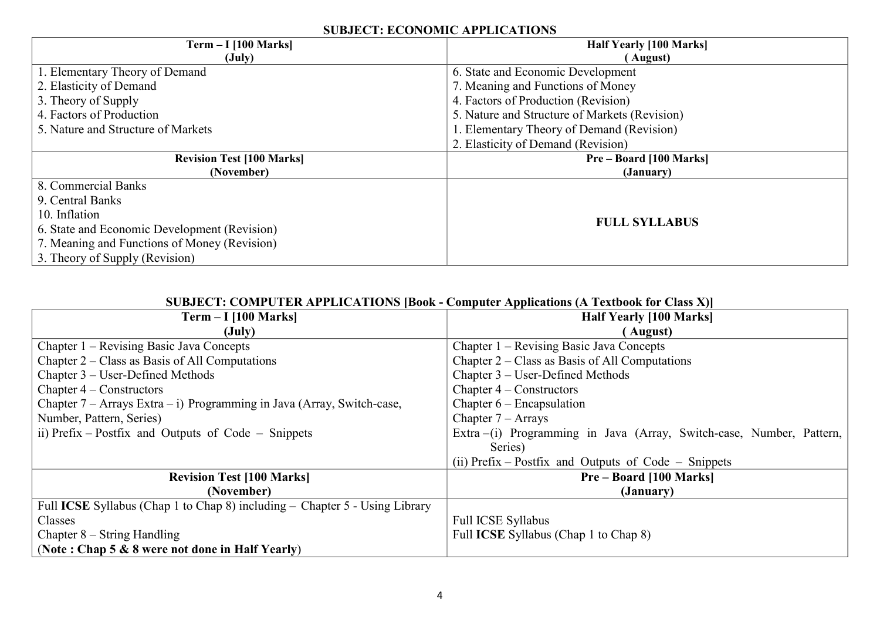#### **SUBJECT: ECONOMIC APPLICATIONS**

| $Term - I [100 Marks]$                       | <b>Half Yearly [100 Marks]</b>                |  |
|----------------------------------------------|-----------------------------------------------|--|
| $(\mathrm{July})$                            | (August)                                      |  |
| 1. Elementary Theory of Demand               | 6. State and Economic Development             |  |
| 2. Elasticity of Demand                      | 7. Meaning and Functions of Money             |  |
| 3. Theory of Supply                          | 4. Factors of Production (Revision)           |  |
| 4. Factors of Production                     | 5. Nature and Structure of Markets (Revision) |  |
| 5. Nature and Structure of Markets           | 1. Elementary Theory of Demand (Revision)     |  |
|                                              | 2. Elasticity of Demand (Revision)            |  |
| <b>Revision Test [100 Marks]</b>             | <b>Pre-Board [100 Marks]</b>                  |  |
| (November)                                   | (January)                                     |  |
| 8. Commercial Banks                          |                                               |  |
| 9. Central Banks                             |                                               |  |
| 10. Inflation                                |                                               |  |
| 6. State and Economic Development (Revision) | <b>FULL SYLLABUS</b>                          |  |
| 7. Meaning and Functions of Money (Revision) |                                               |  |
| 3. Theory of Supply (Revision)               |                                               |  |

### **SUBJECT: COMPUTER APPLICATIONS [Book - Computer Applications (A Textbook for Class X)]**

| $Term - I$ [100 Marks]                                                      | <b>Half Yearly [100 Marks]</b>                                       |
|-----------------------------------------------------------------------------|----------------------------------------------------------------------|
| $(\mathrm{July})$                                                           | (August)                                                             |
| Chapter 1 – Revising Basic Java Concepts                                    | Chapter 1 – Revising Basic Java Concepts                             |
| Chapter $2$ – Class as Basis of All Computations                            | Chapter $2$ – Class as Basis of All Computations                     |
| Chapter 3 – User-Defined Methods                                            | Chapter 3 – User-Defined Methods                                     |
| Chapter $4$ – Constructors                                                  | Chapter $4$ – Constructors                                           |
| Chapter $7 -$ Arrays Extra $- i$ ) Programming in Java (Array, Switch-case, | Chapter $6$ – Encapsulation                                          |
| Number, Pattern, Series)                                                    | Chapter $7 -$ Arrays                                                 |
| ii) Prefix – Postfix and Outputs of Code – Snippets                         | Extra –(i) Programming in Java (Array, Switch-case, Number, Pattern, |
|                                                                             | Series)                                                              |
|                                                                             | (ii) Prefix – Postfix and Outputs of Code – Snippets                 |
| <b>Revision Test [100 Marks]</b>                                            | <b>Pre-Board [100 Marks]</b>                                         |
| (November)                                                                  | (January)                                                            |
| Full ICSE Syllabus (Chap 1 to Chap 8) including – Chapter 5 - Using Library |                                                                      |
| Classes                                                                     | <b>Full ICSE Syllabus</b>                                            |
| Chapter $8 -$ String Handling                                               | Full <b>ICSE</b> Syllabus (Chap 1 to Chap 8)                         |
| (Note: Chap $5 & 8$ were not done in Half Yearly)                           |                                                                      |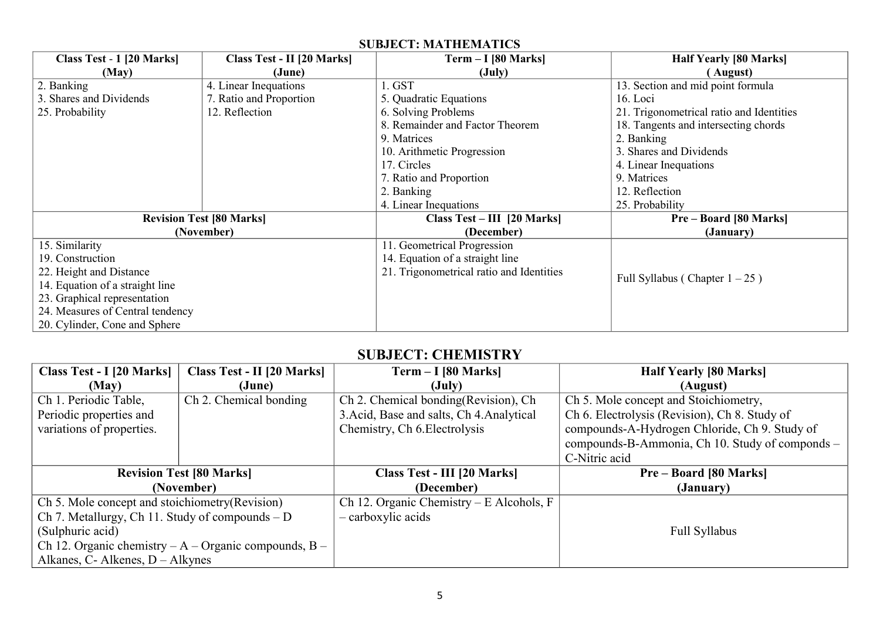### **SUBJECT: MATHEMATICS**

| Class Test - 1 [20 Marks]        | Class Test - II [20 Marks]      | $Term - I [80 Marks]$                    | <b>Half Yearly [80 Marks]</b>            |
|----------------------------------|---------------------------------|------------------------------------------|------------------------------------------|
| (May)                            | (June)                          | $(\mathrm{July})$                        | (August)                                 |
| 2. Banking                       | 4. Linear Inequations           | 1. GST                                   | 13. Section and mid point formula        |
| 3. Shares and Dividends          | 7. Ratio and Proportion         | 5. Quadratic Equations                   | 16. Loci                                 |
| 25. Probability                  | 12. Reflection                  | 6. Solving Problems                      | 21. Trigonometrical ratio and Identities |
|                                  |                                 | 8. Remainder and Factor Theorem          | 18. Tangents and intersecting chords     |
|                                  |                                 | 9. Matrices                              | 2. Banking                               |
|                                  |                                 | 10. Arithmetic Progression               | 3. Shares and Dividends                  |
|                                  |                                 | 17. Circles                              | 4. Linear Inequations                    |
|                                  |                                 | 7. Ratio and Proportion                  | 9. Matrices                              |
|                                  |                                 | 2. Banking                               | 12. Reflection                           |
|                                  |                                 | 4. Linear Inequations                    | 25. Probability                          |
|                                  | <b>Revision Test [80 Marks]</b> | Class Test – III [20 Marks]              | <b>Pre-Board [80 Marks]</b>              |
|                                  | (November)                      | (December)                               | (January)                                |
| 15. Similarity                   |                                 | 11. Geometrical Progression              |                                          |
| 19. Construction                 |                                 | 14. Equation of a straight line          |                                          |
| 22. Height and Distance          |                                 | 21. Trigonometrical ratio and Identities | Full Syllabus (Chapter $1-25$ )          |
| 14. Equation of a straight line  |                                 |                                          |                                          |
| 23. Graphical representation     |                                 |                                          |                                          |
| 24. Measures of Central tendency |                                 |                                          |                                          |
| 20. Cylinder, Cone and Sphere    |                                 |                                          |                                          |

## **SUBJECT: CHEMISTRY**

| <b>Class Test - I [20 Marks]</b>                  | <b>Class Test - II [20 Marks]</b>                        | $Term - I [80 Marks]$                      | <b>Half Yearly [80 Marks]</b>                   |
|---------------------------------------------------|----------------------------------------------------------|--------------------------------------------|-------------------------------------------------|
| (May)                                             | (June)                                                   | (July)                                     | (August)                                        |
| Ch 1. Periodic Table,                             | Ch <sub>2</sub> . Chemical bonding                       | Ch 2. Chemical bonding (Revision), Ch      | Ch 5. Mole concept and Stoichiometry,           |
| Periodic properties and                           |                                                          | 3. Acid, Base and salts, Ch 4. Analytical  | Ch 6. Electrolysis (Revision), Ch 8. Study of   |
| variations of properties.                         |                                                          | Chemistry, Ch 6. Electrolysis              | compounds-A-Hydrogen Chloride, Ch 9. Study of   |
|                                                   |                                                          |                                            | compounds-B-Ammonia, Ch 10. Study of componds - |
|                                                   |                                                          |                                            | C-Nitric acid                                   |
|                                                   | <b>Revision Test [80 Marks]</b>                          | <b>Class Test - III [20 Marks]</b>         | <b>Pre-Board [80 Marks]</b>                     |
|                                                   | (November)                                               | (December)                                 | (January)                                       |
| Ch 5. Mole concept and stoichiometry (Revision)   |                                                          | Ch 12. Organic Chemistry – E Alcohols, $F$ |                                                 |
| Ch 7. Metallurgy, Ch 11. Study of compounds $- D$ |                                                          | - carboxylic acids                         |                                                 |
| (Sulphuric acid)                                  |                                                          |                                            | Full Syllabus                                   |
|                                                   | Ch 12. Organic chemistry $-A$ – Organic compounds, $B$ – |                                            |                                                 |
| Alkanes, C- Alkenes, $D -$ Alkynes                |                                                          |                                            |                                                 |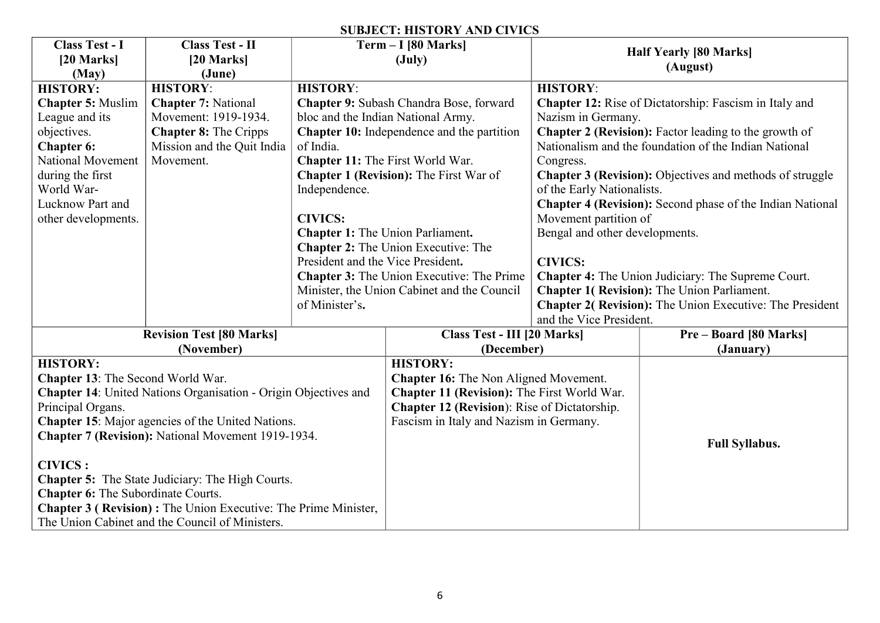#### **SUBJECT: HISTORY AND CIVICS**

| Class Test - I                                          | <b>Class Test - II</b>                                                 |                                         | $Term - I [80 Marks]$                               |                                                               |                                                                  |  |
|---------------------------------------------------------|------------------------------------------------------------------------|-----------------------------------------|-----------------------------------------------------|---------------------------------------------------------------|------------------------------------------------------------------|--|
| [20 Marks]                                              | $[20$ Marks]                                                           |                                         | $(\text{July})$                                     |                                                               | <b>Half Yearly [80 Marks]</b>                                    |  |
| (May)                                                   | (June)                                                                 |                                         |                                                     |                                                               | (August)                                                         |  |
| <b>HISTORY:</b>                                         | <b>HISTORY:</b>                                                        | <b>HISTORY:</b>                         |                                                     | <b>HISTORY:</b>                                               |                                                                  |  |
| <b>Chapter 5: Muslim</b>                                | <b>Chapter 7: National</b>                                             |                                         | Chapter 9: Subash Chandra Bose, forward             | <b>Chapter 12:</b> Rise of Dictatorship: Fascism in Italy and |                                                                  |  |
| League and its                                          | Movement: 1919-1934.                                                   |                                         | bloc and the Indian National Army.                  | Nazism in Germany.                                            |                                                                  |  |
| objectives.                                             | <b>Chapter 8: The Cripps</b>                                           |                                         | Chapter 10: Independence and the partition          |                                                               | Chapter 2 (Revision): Factor leading to the growth of            |  |
| Chapter 6:                                              | Mission and the Quit India                                             | of India.                               |                                                     |                                                               | Nationalism and the foundation of the Indian National            |  |
| National Movement                                       | Movement.                                                              |                                         | Chapter 11: The First World War.                    | Congress.                                                     |                                                                  |  |
| during the first                                        |                                                                        |                                         | <b>Chapter 1 (Revision): The First War of</b>       |                                                               | <b>Chapter 3 (Revision):</b> Objectives and methods of struggle  |  |
| World War-                                              |                                                                        | Independence.                           |                                                     | of the Early Nationalists.                                    |                                                                  |  |
| Lucknow Part and                                        |                                                                        |                                         |                                                     |                                                               | <b>Chapter 4 (Revision):</b> Second phase of the Indian National |  |
| other developments.                                     |                                                                        | <b>CIVICS:</b>                          |                                                     | Movement partition of                                         |                                                                  |  |
|                                                         |                                                                        | <b>Chapter 1: The Union Parliament.</b> |                                                     | Bengal and other developments.                                |                                                                  |  |
|                                                         |                                                                        |                                         | Chapter 2: The Union Executive: The                 |                                                               |                                                                  |  |
|                                                         |                                                                        | President and the Vice President.       |                                                     | <b>CIVICS:</b>                                                |                                                                  |  |
|                                                         |                                                                        |                                         | <b>Chapter 3:</b> The Union Executive: The Prime    |                                                               | <b>Chapter 4:</b> The Union Judiciary: The Supreme Court.        |  |
|                                                         |                                                                        |                                         | Minister, the Union Cabinet and the Council         |                                                               | <b>Chapter 1( Revision): The Union Parliament.</b>               |  |
|                                                         |                                                                        | of Minister's.                          |                                                     |                                                               | <b>Chapter 2( Revision):</b> The Union Executive: The President  |  |
|                                                         |                                                                        |                                         |                                                     | and the Vice President.                                       |                                                                  |  |
|                                                         | <b>Revision Test [80 Marks]</b>                                        |                                         | Class Test - III [20 Marks]                         |                                                               | <b>Pre-Board [80 Marks]</b>                                      |  |
|                                                         | (November)                                                             |                                         | (December)                                          |                                                               | (January)                                                        |  |
| <b>HISTORY:</b>                                         |                                                                        |                                         | <b>HISTORY:</b>                                     |                                                               |                                                                  |  |
| Chapter 13: The Second World War.                       |                                                                        |                                         | <b>Chapter 16:</b> The Non Aligned Movement.        |                                                               |                                                                  |  |
|                                                         | <b>Chapter 14:</b> United Nations Organisation - Origin Objectives and |                                         | Chapter 11 (Revision): The First World War.         |                                                               |                                                                  |  |
| Principal Organs.                                       |                                                                        |                                         | <b>Chapter 12 (Revision): Rise of Dictatorship.</b> |                                                               |                                                                  |  |
|                                                         | Chapter 15: Major agencies of the United Nations.                      |                                         | Fascism in Italy and Nazism in Germany.             |                                                               |                                                                  |  |
| Chapter 7 (Revision): National Movement 1919-1934.      |                                                                        |                                         |                                                     |                                                               | <b>Full Syllabus.</b>                                            |  |
|                                                         |                                                                        |                                         |                                                     |                                                               |                                                                  |  |
| <b>CIVICS:</b>                                          |                                                                        |                                         |                                                     |                                                               |                                                                  |  |
| <b>Chapter 5:</b> The State Judiciary: The High Courts. |                                                                        |                                         |                                                     |                                                               |                                                                  |  |
| Chapter 6: The Subordinate Courts.                      |                                                                        |                                         |                                                     |                                                               |                                                                  |  |
|                                                         | <b>Chapter 3 ( Revision):</b> The Union Executive: The Prime Minister, |                                         |                                                     |                                                               |                                                                  |  |
|                                                         | The Union Cabinet and the Council of Ministers.                        |                                         |                                                     |                                                               |                                                                  |  |